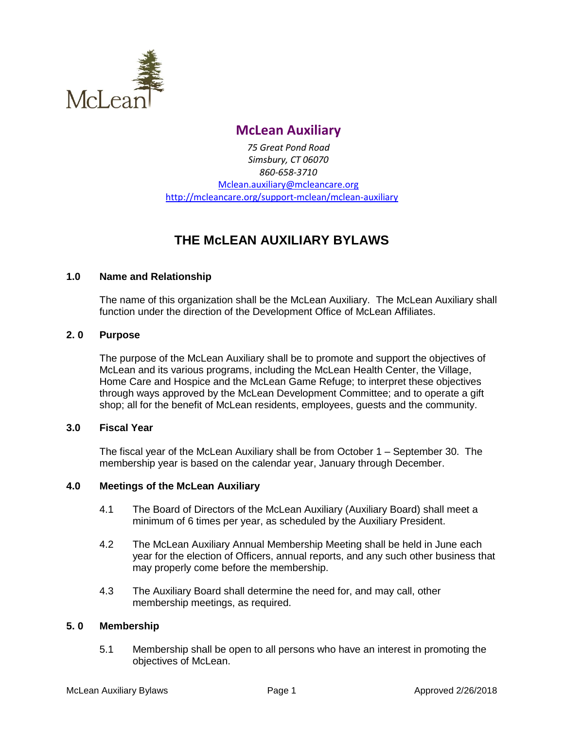

## **McLean Auxiliary**

*75 Great Pond Road Simsbury, CT 06070 860-658-3710* [Mclean.auxiliary@mcleancare.org](mailto:Mclean.auxiliary@mcleancare.org) <http://mcleancare.org/support-mclean/mclean-auxiliary>

# **THE McLEAN AUXILIARY BYLAWS**

## **1.0 Name and Relationship**

The name of this organization shall be the McLean Auxiliary. The McLean Auxiliary shall function under the direction of the Development Office of McLean Affiliates.

## **2. 0 Purpose**

The purpose of the McLean Auxiliary shall be to promote and support the objectives of McLean and its various programs, including the McLean Health Center, the Village, Home Care and Hospice and the McLean Game Refuge; to interpret these objectives through ways approved by the McLean Development Committee; and to operate a gift shop; all for the benefit of McLean residents, employees, guests and the community.

#### **3.0 Fiscal Year**

The fiscal year of the McLean Auxiliary shall be from October 1 – September 30. The membership year is based on the calendar year, January through December.

## **4.0 Meetings of the McLean Auxiliary**

- 4.1 The Board of Directors of the McLean Auxiliary (Auxiliary Board) shall meet a minimum of 6 times per year, as scheduled by the Auxiliary President.
- 4.2 The McLean Auxiliary Annual Membership Meeting shall be held in June each year for the election of Officers, annual reports, and any such other business that may properly come before the membership.
- 4.3 The Auxiliary Board shall determine the need for, and may call, other membership meetings, as required.

#### **5. 0 Membership**

5.1 Membership shall be open to all persons who have an interest in promoting the objectives of McLean.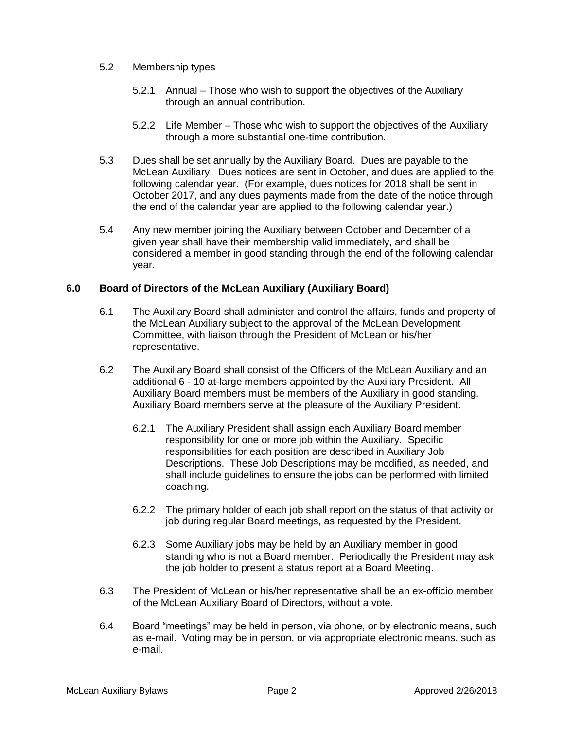#### 5.2 Membership types

- 5.2.1 Annual Those who wish to support the objectives of the Auxiliary through an annual contribution.
- 5.2.2 Life Member Those who wish to support the objectives of the Auxiliary through a more substantial one-time contribution.
- 5.3 Dues shall be set annually by the Auxiliary Board. Dues are payable to the McLean Auxiliary. Dues notices are sent in October, and dues are applied to the following calendar year. (For example, dues notices for 2018 shall be sent in October 2017, and any dues payments made from the date of the notice through the end of the calendar year are applied to the following calendar year.)
- 5.4 Any new member joining the Auxiliary between October and December of a given year shall have their membership valid immediately, and shall be considered a member in good standing through the end of the following calendar year.

## **6.0 Board of Directors of the McLean Auxiliary (Auxiliary Board)**

- 6.1 The Auxiliary Board shall administer and control the affairs, funds and property of the McLean Auxiliary subject to the approval of the McLean Development Committee, with liaison through the President of McLean or his/her representative.
- 6.2 The Auxiliary Board shall consist of the Officers of the McLean Auxiliary and an additional 6 - 10 at-large members appointed by the Auxiliary President. All Auxiliary Board members must be members of the Auxiliary in good standing. Auxiliary Board members serve at the pleasure of the Auxiliary President.
	- 6.2.1 The Auxiliary President shall assign each Auxiliary Board member responsibility for one or more job within the Auxiliary. Specific responsibilities for each position are described in Auxiliary Job Descriptions. These Job Descriptions may be modified, as needed, and shall include guidelines to ensure the jobs can be performed with limited coaching.
	- 6.2.2 The primary holder of each job shall report on the status of that activity or job during regular Board meetings, as requested by the President.
	- 6.2.3 Some Auxiliary jobs may be held by an Auxiliary member in good standing who is not a Board member. Periodically the President may ask the job holder to present a status report at a Board Meeting.
- 6.3 The President of McLean or his/her representative shall be an ex-officio member of the McLean Auxiliary Board of Directors, without a vote.
- 6.4 Board "meetings" may be held in person, via phone, or by electronic means, such as e-mail. Voting may be in person, or via appropriate electronic means, such as e-mail.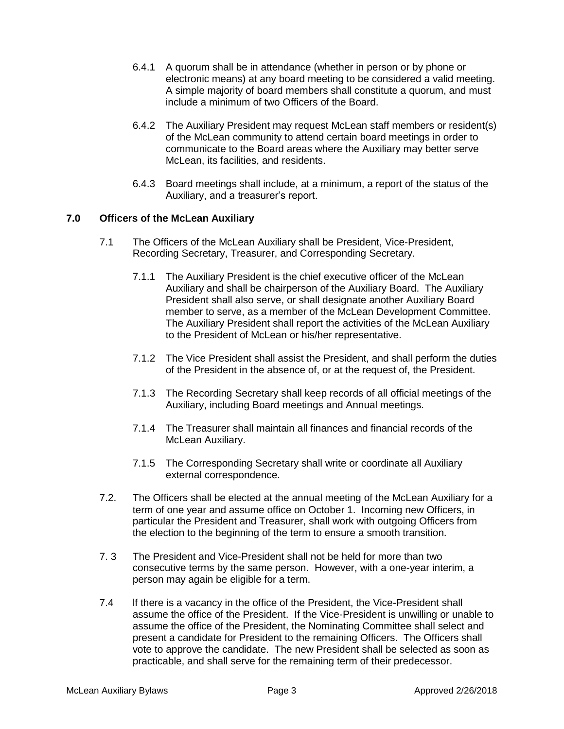- 6.4.1 A quorum shall be in attendance (whether in person or by phone or electronic means) at any board meeting to be considered a valid meeting. A simple majority of board members shall constitute a quorum, and must include a minimum of two Officers of the Board.
- 6.4.2 The Auxiliary President may request McLean staff members or resident(s) of the McLean community to attend certain board meetings in order to communicate to the Board areas where the Auxiliary may better serve McLean, its facilities, and residents.
- 6.4.3 Board meetings shall include, at a minimum, a report of the status of the Auxiliary, and a treasurer's report.

## **7.0 Officers of the McLean Auxiliary**

- 7.1 The Officers of the McLean Auxiliary shall be President, Vice-President, Recording Secretary, Treasurer, and Corresponding Secretary.
	- 7.1.1 The Auxiliary President is the chief executive officer of the McLean Auxiliary and shall be chairperson of the Auxiliary Board. The Auxiliary President shall also serve, or shall designate another Auxiliary Board member to serve, as a member of the McLean Development Committee. The Auxiliary President shall report the activities of the McLean Auxiliary to the President of McLean or his/her representative.
	- 7.1.2 The Vice President shall assist the President, and shall perform the duties of the President in the absence of, or at the request of, the President.
	- 7.1.3 The Recording Secretary shall keep records of all official meetings of the Auxiliary, including Board meetings and Annual meetings.
	- 7.1.4 The Treasurer shall maintain all finances and financial records of the McLean Auxiliary.
	- 7.1.5 The Corresponding Secretary shall write or coordinate all Auxiliary external correspondence.
- 7.2. The Officers shall be elected at the annual meeting of the McLean Auxiliary for a term of one year and assume office on October 1. Incoming new Officers, in particular the President and Treasurer, shall work with outgoing Officers from the election to the beginning of the term to ensure a smooth transition.
- 7. 3 The President and Vice-President shall not be held for more than two consecutive terms by the same person. However, with a one-year interim, a person may again be eligible for a term.
- 7.4 If there is a vacancy in the office of the President, the Vice-President shall assume the office of the President. If the Vice-President is unwilling or unable to assume the office of the President, the Nominating Committee shall select and present a candidate for President to the remaining Officers. The Officers shall vote to approve the candidate. The new President shall be selected as soon as practicable, and shall serve for the remaining term of their predecessor.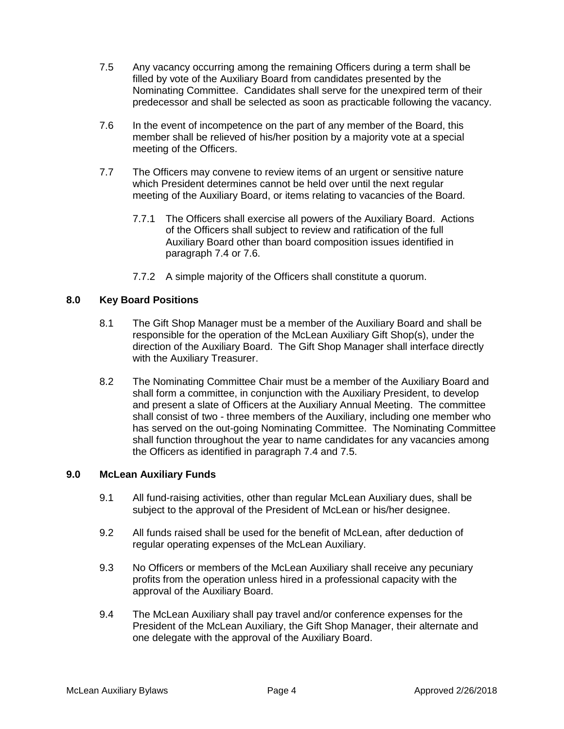- 7.5 Any vacancy occurring among the remaining Officers during a term shall be filled by vote of the Auxiliary Board from candidates presented by the Nominating Committee. Candidates shall serve for the unexpired term of their predecessor and shall be selected as soon as practicable following the vacancy.
- 7.6 In the event of incompetence on the part of any member of the Board, this member shall be relieved of his/her position by a majority vote at a special meeting of the Officers.
- 7.7 The Officers may convene to review items of an urgent or sensitive nature which President determines cannot be held over until the next regular meeting of the Auxiliary Board, or items relating to vacancies of the Board.
	- 7.7.1 The Officers shall exercise all powers of the Auxiliary Board. Actions of the Officers shall subject to review and ratification of the full Auxiliary Board other than board composition issues identified in paragraph 7.4 or 7.6.
	- 7.7.2 A simple majority of the Officers shall constitute a quorum.

## **8.0 Key Board Positions**

- 8.1 The Gift Shop Manager must be a member of the Auxiliary Board and shall be responsible for the operation of the McLean Auxiliary Gift Shop(s), under the direction of the Auxiliary Board. The Gift Shop Manager shall interface directly with the Auxiliary Treasurer.
- 8.2 The Nominating Committee Chair must be a member of the Auxiliary Board and shall form a committee, in conjunction with the Auxiliary President, to develop and present a slate of Officers at the Auxiliary Annual Meeting. The committee shall consist of two - three members of the Auxiliary, including one member who has served on the out-going Nominating Committee. The Nominating Committee shall function throughout the year to name candidates for any vacancies among the Officers as identified in paragraph 7.4 and 7.5.

#### **9.0 McLean Auxiliary Funds**

- 9.1 All fund-raising activities, other than regular McLean Auxiliary dues, shall be subject to the approval of the President of McLean or his/her designee.
- 9.2 All funds raised shall be used for the benefit of McLean, after deduction of regular operating expenses of the McLean Auxiliary.
- 9.3 No Officers or members of the McLean Auxiliary shall receive any pecuniary profits from the operation unless hired in a professional capacity with the approval of the Auxiliary Board.
- 9.4 The McLean Auxiliary shall pay travel and/or conference expenses for the President of the McLean Auxiliary, the Gift Shop Manager, their alternate and one delegate with the approval of the Auxiliary Board.